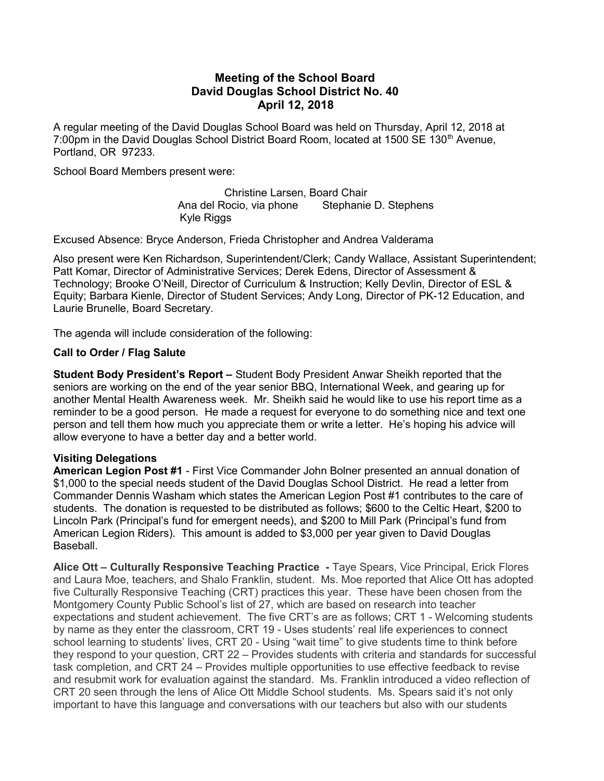# Meeting of the School Board David Douglas School District No. 40 April 12, 2018

A regular meeting of the David Douglas School Board was held on Thursday, April 12, 2018 at 7:00pm in the David Douglas School District Board Room, located at 1500 SE 130<sup>th</sup> Avenue, Portland, OR 97233.

School Board Members present were:

Christine Larsen, Board Chair Ana del Rocio, via phone Stephanie D. Stephens Kyle Riggs

Excused Absence: Bryce Anderson, Frieda Christopher and Andrea Valderama

Also present were Ken Richardson, Superintendent/Clerk; Candy Wallace, Assistant Superintendent; Patt Komar, Director of Administrative Services; Derek Edens, Director of Assessment & Technology; Brooke O'Neill, Director of Curriculum & Instruction; Kelly Devlin, Director of ESL & Equity; Barbara Kienle, Director of Student Services; Andy Long, Director of PK-12 Education, and Laurie Brunelle, Board Secretary.

The agenda will include consideration of the following:

#### Call to Order / Flag Salute

Student Body President's Report – Student Body President Anwar Sheikh reported that the seniors are working on the end of the year senior BBQ, International Week, and gearing up for another Mental Health Awareness week. Mr. Sheikh said he would like to use his report time as a reminder to be a good person. He made a request for everyone to do something nice and text one person and tell them how much you appreciate them or write a letter. He's hoping his advice will allow everyone to have a better day and a better world.

## Visiting Delegations

American Legion Post #1 - First Vice Commander John Bolner presented an annual donation of \$1,000 to the special needs student of the David Douglas School District. He read a letter from Commander Dennis Washam which states the American Legion Post #1 contributes to the care of students. The donation is requested to be distributed as follows; \$600 to the Celtic Heart, \$200 to Lincoln Park (Principal's fund for emergent needs), and \$200 to Mill Park (Principal's fund from American Legion Riders). This amount is added to \$3,000 per year given to David Douglas Baseball.

Alice Ott – Culturally Responsive Teaching Practice - Taye Spears, Vice Principal, Erick Flores and Laura Moe, teachers, and Shalo Franklin, student. Ms. Moe reported that Alice Ott has adopted five Culturally Responsive Teaching (CRT) practices this year. These have been chosen from the Montgomery County Public School's list of 27, which are based on research into teacher expectations and student achievement. The five CRT's are as follows; CRT 1 - Welcoming students by name as they enter the classroom, CRT 19 - Uses students' real life experiences to connect school learning to students' lives, CRT 20 - Using "wait time" to give students time to think before they respond to your question, CRT 22 – Provides students with criteria and standards for successful task completion, and CRT 24 – Provides multiple opportunities to use effective feedback to revise and resubmit work for evaluation against the standard. Ms. Franklin introduced a video reflection of CRT 20 seen through the lens of Alice Ott Middle School students. Ms. Spears said it's not only important to have this language and conversations with our teachers but also with our students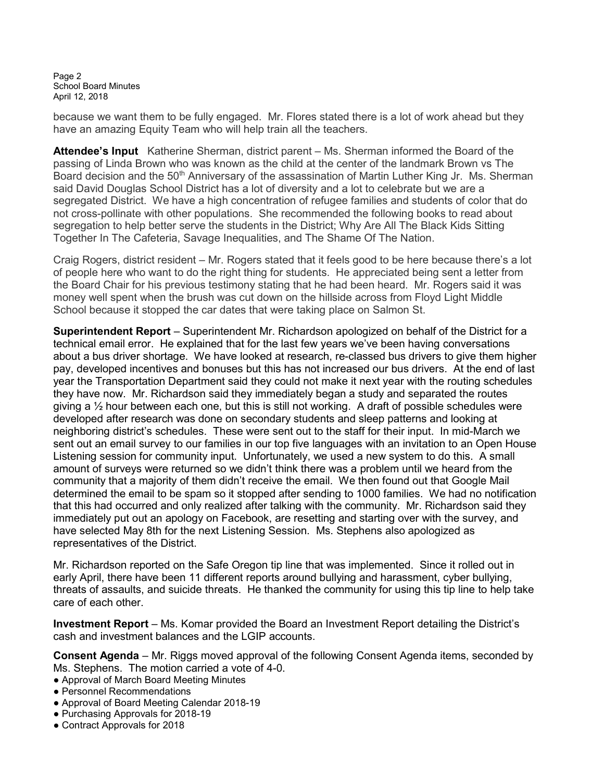Page 2 School Board Minutes April 12, 2018

because we want them to be fully engaged. Mr. Flores stated there is a lot of work ahead but they have an amazing Equity Team who will help train all the teachers.

**Attendee's Input** Katherine Sherman, district parent – Ms. Sherman informed the Board of the passing of Linda Brown who was known as the child at the center of the landmark Brown vs The Board decision and the 50<sup>th</sup> Anniversary of the assassination of Martin Luther King Jr. Ms. Sherman said David Douglas School District has a lot of diversity and a lot to celebrate but we are a segregated District. We have a high concentration of refugee families and students of color that do not cross-pollinate with other populations. She recommended the following books to read about segregation to help better serve the students in the District; Why Are All The Black Kids Sitting Together In The Cafeteria, Savage Inequalities, and The Shame Of The Nation.

Craig Rogers, district resident – Mr. Rogers stated that it feels good to be here because there's a lot of people here who want to do the right thing for students. He appreciated being sent a letter from the Board Chair for his previous testimony stating that he had been heard. Mr. Rogers said it was money well spent when the brush was cut down on the hillside across from Floyd Light Middle School because it stopped the car dates that were taking place on Salmon St.

Superintendent Report – Superintendent Mr. Richardson apologized on behalf of the District for a technical email error. He explained that for the last few years we've been having conversations about a bus driver shortage. We have looked at research, re-classed bus drivers to give them higher pay, developed incentives and bonuses but this has not increased our bus drivers. At the end of last year the Transportation Department said they could not make it next year with the routing schedules they have now. Mr. Richardson said they immediately began a study and separated the routes giving a  $\frac{1}{2}$  hour between each one, but this is still not working. A draft of possible schedules were developed after research was done on secondary students and sleep patterns and looking at neighboring district's schedules. These were sent out to the staff for their input. In mid-March we sent out an email survey to our families in our top five languages with an invitation to an Open House Listening session for community input. Unfortunately, we used a new system to do this. A small amount of surveys were returned so we didn't think there was a problem until we heard from the community that a majority of them didn't receive the email. We then found out that Google Mail determined the email to be spam so it stopped after sending to 1000 families. We had no notification that this had occurred and only realized after talking with the community. Mr. Richardson said they immediately put out an apology on Facebook, are resetting and starting over with the survey, and have selected May 8th for the next Listening Session. Ms. Stephens also apologized as representatives of the District.

Mr. Richardson reported on the Safe Oregon tip line that was implemented. Since it rolled out in early April, there have been 11 different reports around bullying and harassment, cyber bullying, threats of assaults, and suicide threats. He thanked the community for using this tip line to help take care of each other.

Investment Report – Ms. Komar provided the Board an Investment Report detailing the District's cash and investment balances and the LGIP accounts.

Consent Agenda – Mr. Riggs moved approval of the following Consent Agenda items, seconded by Ms. Stephens. The motion carried a vote of 4-0.

- Approval of March Board Meeting Minutes
- Personnel Recommendations
- Approval of Board Meeting Calendar 2018-19
- Purchasing Approvals for 2018-19
- Contract Approvals for 2018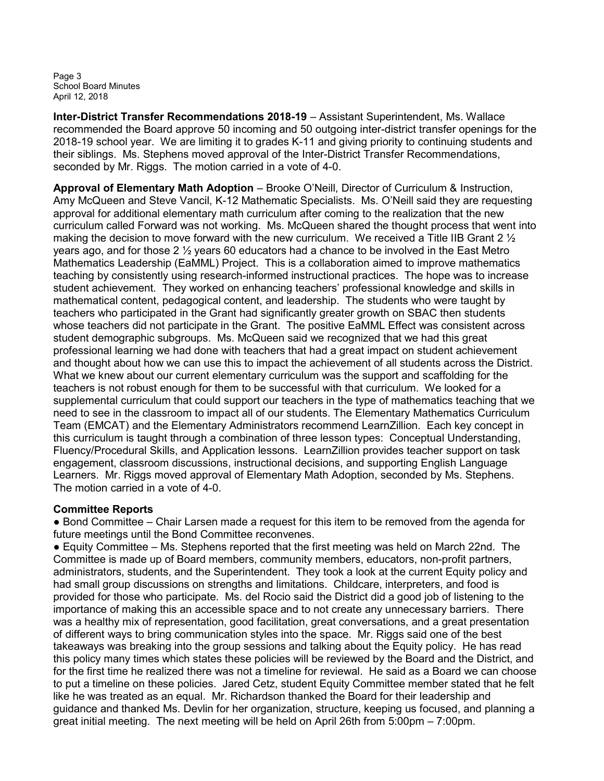Page 3 School Board Minutes April 12, 2018

Inter-District Transfer Recommendations 2018-19 – Assistant Superintendent, Ms. Wallace recommended the Board approve 50 incoming and 50 outgoing inter-district transfer openings for the 2018-19 school year. We are limiting it to grades K-11 and giving priority to continuing students and their siblings. Ms. Stephens moved approval of the Inter-District Transfer Recommendations, seconded by Mr. Riggs. The motion carried in a vote of 4-0.

Approval of Elementary Math Adoption – Brooke O'Neill, Director of Curriculum & Instruction, Amy McQueen and Steve Vancil, K-12 Mathematic Specialists. Ms. O'Neill said they are requesting approval for additional elementary math curriculum after coming to the realization that the new curriculum called Forward was not working. Ms. McQueen shared the thought process that went into making the decision to move forward with the new curriculum. We received a Title IIB Grant 2  $\frac{1}{2}$ years ago, and for those 2 ½ years 60 educators had a chance to be involved in the East Metro Mathematics Leadership (EaMML) Project. This is a collaboration aimed to improve mathematics teaching by consistently using research-informed instructional practices. The hope was to increase student achievement. They worked on enhancing teachers' professional knowledge and skills in mathematical content, pedagogical content, and leadership. The students who were taught by teachers who participated in the Grant had significantly greater growth on SBAC then students whose teachers did not participate in the Grant. The positive EaMML Effect was consistent across student demographic subgroups. Ms. McQueen said we recognized that we had this great professional learning we had done with teachers that had a great impact on student achievement and thought about how we can use this to impact the achievement of all students across the District. What we knew about our current elementary curriculum was the support and scaffolding for the teachers is not robust enough for them to be successful with that curriculum. We looked for a supplemental curriculum that could support our teachers in the type of mathematics teaching that we need to see in the classroom to impact all of our students. The Elementary Mathematics Curriculum Team (EMCAT) and the Elementary Administrators recommend LearnZillion. Each key concept in this curriculum is taught through a combination of three lesson types: Conceptual Understanding, Fluency/Procedural Skills, and Application lessons. LearnZillion provides teacher support on task engagement, classroom discussions, instructional decisions, and supporting English Language Learners. Mr. Riggs moved approval of Elementary Math Adoption, seconded by Ms. Stephens. The motion carried in a vote of 4-0.

## Committee Reports

● Bond Committee – Chair Larsen made a request for this item to be removed from the agenda for future meetings until the Bond Committee reconvenes.

● Equity Committee – Ms. Stephens reported that the first meeting was held on March 22nd. The Committee is made up of Board members, community members, educators, non-profit partners, administrators, students, and the Superintendent. They took a look at the current Equity policy and had small group discussions on strengths and limitations. Childcare, interpreters, and food is provided for those who participate. Ms. del Rocio said the District did a good job of listening to the importance of making this an accessible space and to not create any unnecessary barriers. There was a healthy mix of representation, good facilitation, great conversations, and a great presentation of different ways to bring communication styles into the space. Mr. Riggs said one of the best takeaways was breaking into the group sessions and talking about the Equity policy. He has read this policy many times which states these policies will be reviewed by the Board and the District, and for the first time he realized there was not a timeline for reviewal. He said as a Board we can choose to put a timeline on these policies. Jared Cetz, student Equity Committee member stated that he felt like he was treated as an equal. Mr. Richardson thanked the Board for their leadership and guidance and thanked Ms. Devlin for her organization, structure, keeping us focused, and planning a great initial meeting. The next meeting will be held on April 26th from 5:00pm – 7:00pm.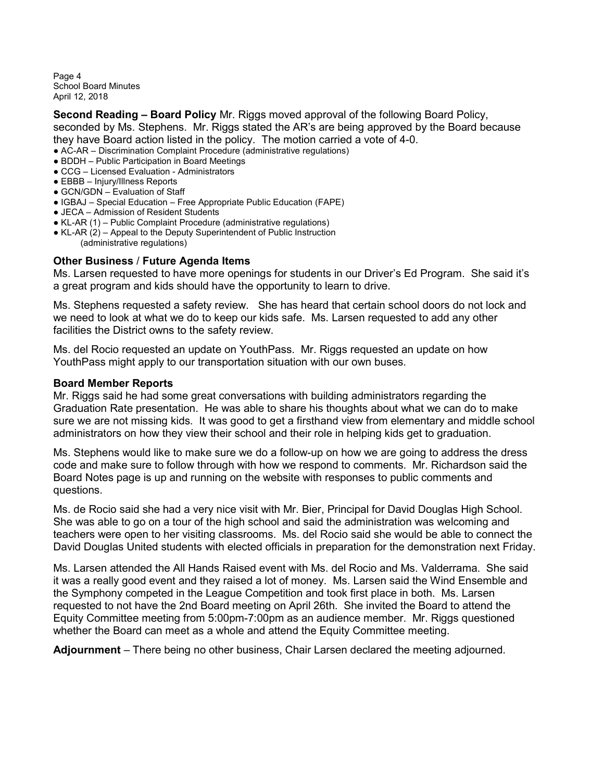Page 4 School Board Minutes April 12, 2018

Second Reading – Board Policy Mr. Riggs moved approval of the following Board Policy, seconded by Ms. Stephens. Mr. Riggs stated the AR's are being approved by the Board because they have Board action listed in the policy. The motion carried a vote of 4-0.

- AC-AR Discrimination Complaint Procedure (administrative regulations)
- BDDH Public Participation in Board Meetings
- CCG Licensed Evaluation Administrators
- EBBB Injury/Illness Reports
- GCN/GDN Evaluation of Staff
- IGBAJ Special Education Free Appropriate Public Education (FAPE)
- JECA Admission of Resident Students
- KL-AR (1) Public Complaint Procedure (administrative regulations)
- KL-AR (2) Appeal to the Deputy Superintendent of Public Instruction (administrative regulations)

#### Other Business / Future Agenda Items

Ms. Larsen requested to have more openings for students in our Driver's Ed Program. She said it's a great program and kids should have the opportunity to learn to drive.

Ms. Stephens requested a safety review. She has heard that certain school doors do not lock and we need to look at what we do to keep our kids safe. Ms. Larsen requested to add any other facilities the District owns to the safety review.

Ms. del Rocio requested an update on YouthPass. Mr. Riggs requested an update on how YouthPass might apply to our transportation situation with our own buses.

#### Board Member Reports

Mr. Riggs said he had some great conversations with building administrators regarding the Graduation Rate presentation. He was able to share his thoughts about what we can do to make sure we are not missing kids. It was good to get a firsthand view from elementary and middle school administrators on how they view their school and their role in helping kids get to graduation.

Ms. Stephens would like to make sure we do a follow-up on how we are going to address the dress code and make sure to follow through with how we respond to comments. Mr. Richardson said the Board Notes page is up and running on the website with responses to public comments and questions.

Ms. de Rocio said she had a very nice visit with Mr. Bier, Principal for David Douglas High School. She was able to go on a tour of the high school and said the administration was welcoming and teachers were open to her visiting classrooms. Ms. del Rocio said she would be able to connect the David Douglas United students with elected officials in preparation for the demonstration next Friday.

Ms. Larsen attended the All Hands Raised event with Ms. del Rocio and Ms. Valderrama. She said it was a really good event and they raised a lot of money. Ms. Larsen said the Wind Ensemble and the Symphony competed in the League Competition and took first place in both. Ms. Larsen requested to not have the 2nd Board meeting on April 26th. She invited the Board to attend the Equity Committee meeting from 5:00pm-7:00pm as an audience member. Mr. Riggs questioned whether the Board can meet as a whole and attend the Equity Committee meeting.

Adjournment – There being no other business, Chair Larsen declared the meeting adjourned.